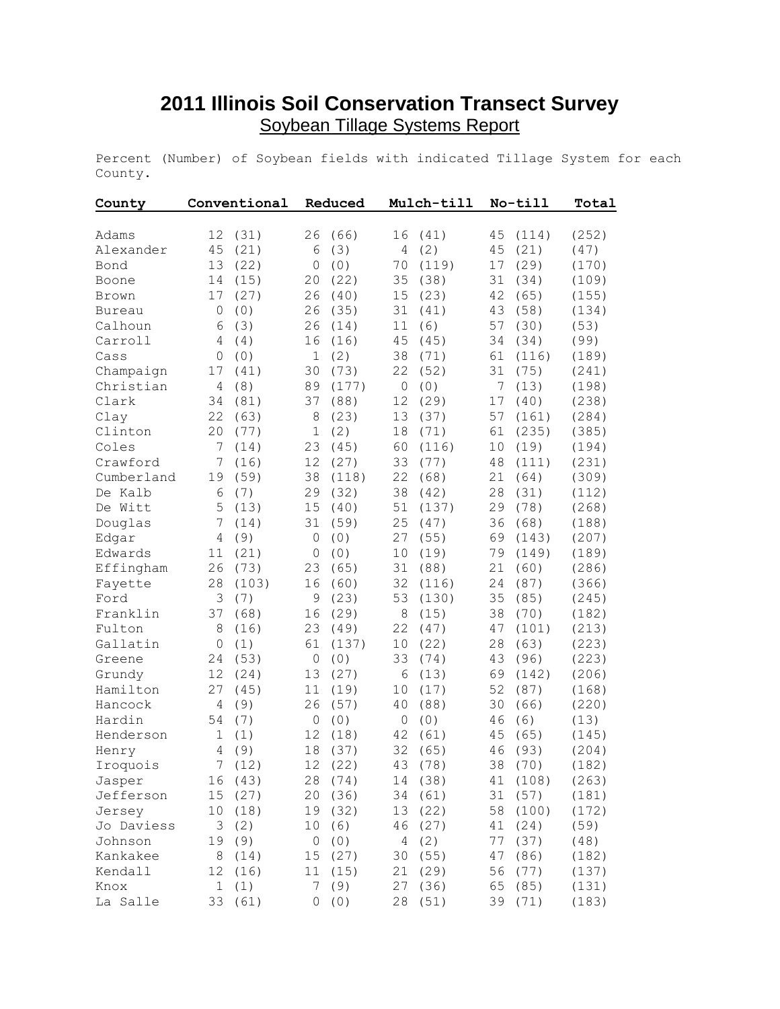## **2011 Illinois Soil Conservation Transect Survey** Soybean Tillage Systems Report

Percent (Number) of Soybean fields with indicated Tillage System for each County.

| County        | Conventional   |         | Reduced        |         | Mulch-till |         | No-till |         | Total |
|---------------|----------------|---------|----------------|---------|------------|---------|---------|---------|-------|
| Adams         | 12             | (31)    | 26             | (66)    | 16         | (41)    | 45      | (114)   | (252) |
| Alexander     | 45             | (21)    | 6              | (3)     | 4          | (2)     | 45      | (21)    | (47)  |
| Bond          | 13             | (22)    | 0              | (0)     | 70         | (119)   | 17      | (29)    | (170) |
| Boone         | 14             | (15)    | 20             | (22)    | 35         | (38)    | 31      | (34)    | (109) |
| Brown         | 17             | (27)    | 26             | (40)    | 15         | (23)    | 42      | (65)    | (155) |
| <b>Bureau</b> | 0              | (0)     | 26             | (35)    | 31         | (41)    | 43      | (58)    | (134) |
| Calhoun       | 6              | (3)     | 26             | (14)    | 11         | (6)     | 57      | (30)    | (53)  |
| Carroll       | 4              | (4)     | 16             | (16)    | 45         | (45)    | 34      | (34)    | (99)  |
| Cass          | 0              | (0)     | 1              | (2)     | 38         | (71)    | 61      | (116)   | (189) |
| Champaign     | 17             | (41)    | 30             | (73)    | 22         | (52)    | 31      | (75)    | (241) |
| Christian     | 4              | (8)     | 89             | (177)   | 0          | (0)     | 7       | (13)    | (198) |
| Clark         | 34             | (81)    | 37             | (88)    | 12         | (29)    | 17      | (40)    | (238) |
| Clay          | 22             | (63)    | 8              | (23)    | 13         | (37)    | 57      | (161)   | (284) |
| Clinton       | 20             | (77)    | 1              | (2)     | 18         | (71)    | 61      | (235)   | (385) |
| Coles         | 7              | (14)    | 23             | (45)    | 60         | (116)   | 10      | (19)    | (194) |
| Crawford      | 7              | (16)    | 12             | (27)    | 33         | (77)    | 48      | (111)   | (231) |
| Cumberland    | 19             | (59)    | 38             | (118)   | 22         | (68)    | 21      | (64)    | (309) |
| De Kalb       | 6              | (7)     | 29             | (32)    | 38         | (42)    | 28      | (31)    | (112) |
| De Witt       | 5              | (13)    | 15             | (40)    | 51         | (137)   | 29      | (78)    | (268) |
| Douglas       | 7              | (14)    | 31             | (59)    | 25         | (47)    | 36      | (68)    | (188) |
| Edgar         | 4              | (9)     | 0              | (0)     | 27         | (55)    | 69      | (143)   | (207) |
| Edwards       | 11             | (21)    | 0              | (0)     | 10         | (19)    | 79      | (149)   | (189) |
| Effingham     | 26             | (73)    | 23             | (65)    | 31         | (88)    | 21      | (60)    | (286) |
| Fayette       | 28             | (103)   | 16             | (60)    | 32         | (116)   | 24      | (87)    | (366) |
| Ford          | 3              | (7)     | 9              | (23)    | 53         | (130)   | 35      | (85)    | (245) |
| Franklin      | 37             | (68)    | 16             | (29)    | 8          | (15)    | 38      | (70)    | (182) |
| Fulton        | 8              | (16)    | 23             | (49)    | 22         | (47)    | 47      | (101)   | (213) |
| Gallatin      | $\overline{0}$ | (1)     | 61             | (137)   | 10         | (22)    | 28      | (63)    | (223) |
| Greene        | 24             | (53)    | $\overline{0}$ | (0)     | 33         | (74)    | 43      | (96)    | (223) |
| Grundy        | 12             | (24)    | 13             | (27)    | 6          | (13)    | 69      | (142)   | (206) |
| Hamilton      | 27             | (45)    | 11             | (19)    | 10         | (17)    | 52      | (87)    | (168) |
| Hancock       | 4              | (9)     | 26             | (57)    | 40         | (88)    | 30      | (66)    | (220) |
| Hardin        | 54             | (7)     | $\circ$        | (0)     | $\circ$    | (0)     | 46      | (6)     | (13)  |
| Henderson     | 1              | (1)     | 12             | (18)    | 42         | (61)    | 45      | (65)    | (145) |
| Henry         | 4              | (9)     | 18             | (37)    | 32         | (65)    | 46      | (93)    | (204) |
| Iroquois      |                | 7(12)   |                | 12 (22) |            | 43 (78) |         | 38 (70) | (182) |
| Jasper        | 16             | (43)    | 28             | (74)    | 14         | (38)    | 41      | (108)   | (263) |
| Jefferson     | 15             | (27)    | 20             | (36)    | 34         | (61)    | 31      | (57)    | (181) |
| Jersey        | 10             | (18)    | 19             | (32)    | 13         | (22)    | 58      | (100)   | (172) |
| Jo Daviess    | 3              | (2)     | 10             | (6)     | 46         | (27)    | 41      | (24)    | (59)  |
| Johnson       | 19             | (9)     | 0              | (0)     | 4          | (2)     | 77      | (37)    | (48)  |
| Kankakee      | $\,8\,$        | (14)    | 15             | (27)    | 30         | (55)    | 47      | (86)    | (182) |
| Kendall       | 12             | (16)    | 11             | (15)    | 21         | (29)    | 56      | (77)    | (137) |
| Knox          | 1              | (1)     | 7              | (9)     | 27         | (36)    | 65      | (85)    | (131) |
| La Salle      |                | 33 (61) |                | 0(0)    |            | 28 (51) |         | 39 (71) | (183) |